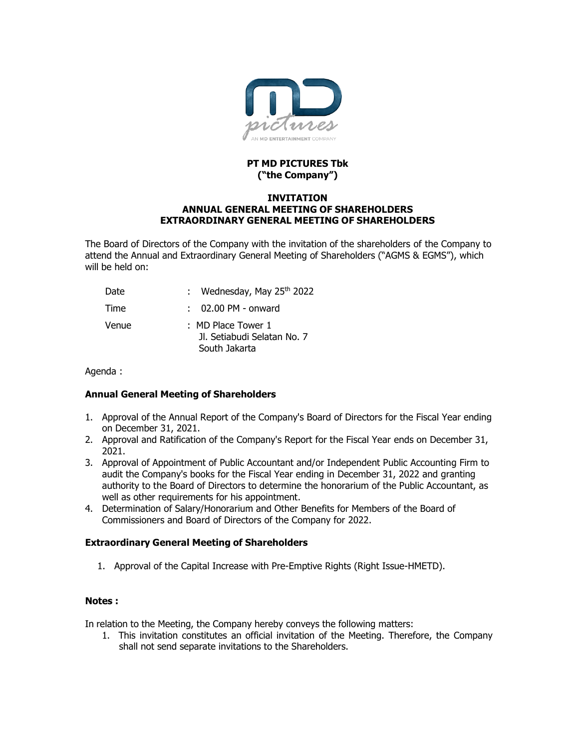

## **PT MD PICTURES Tbk ("the Company")**

#### **INVITATION ANNUAL GENERAL MEETING OF SHAREHOLDERS EXTRAORDINARY GENERAL MEETING OF SHAREHOLDERS**

The Board of Directors of the Company with the invitation of the shareholders of the Company to attend the Annual and Extraordinary General Meeting of Shareholders ("AGMS & EGMS"), which will be held on:

| Date  | : Wednesday, May $25th 2022$                                       |
|-------|--------------------------------------------------------------------|
| Time  | $: 02.00$ PM - onward                                              |
| Venue | : MD Place Tower 1<br>Jl. Setiabudi Selatan No. 7<br>South Jakarta |

Agenda :

# **Annual General Meeting of Shareholders**

- 1. Approval of the Annual Report of the Company's Board of Directors for the Fiscal Year ending on December 31, 2021.
- 2. Approval and Ratification of the Company's Report for the Fiscal Year ends on December 31, 2021.
- 3. Approval of Appointment of Public Accountant and/or Independent Public Accounting Firm to audit the Company's books for the Fiscal Year ending in December 31, 2022 and granting authority to the Board of Directors to determine the honorarium of the Public Accountant, as well as other requirements for his appointment.
- 4. Determination of Salary/Honorarium and Other Benefits for Members of the Board of Commissioners and Board of Directors of the Company for 2022.

## **Extraordinary General Meeting of Shareholders**

1. Approval of the Capital Increase with Pre-Emptive Rights (Right Issue-HMETD).

## **Notes :**

In relation to the Meeting, the Company hereby conveys the following matters:

1. This invitation constitutes an official invitation of the Meeting. Therefore, the Company shall not send separate invitations to the Shareholders.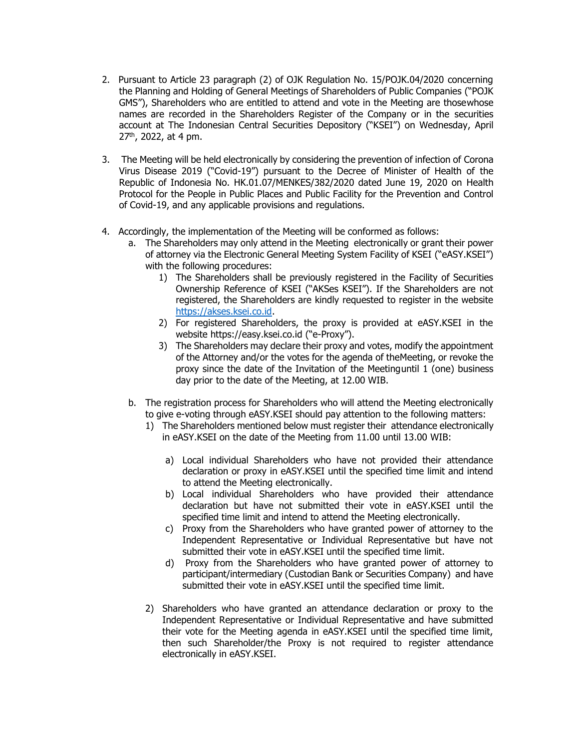- 2. Pursuant to Article 23 paragraph (2) of OJK Regulation No. 15/POJK.04/2020 concerning the Planning and Holding of General Meetings of Shareholders of Public Companies ("POJK GMS"), Shareholders who are entitled to attend and vote in the Meeting are thosewhose names are recorded in the Shareholders Register of the Company or in the securities account at The Indonesian Central Securities Depository ("KSEI") on Wednesday, April 27<sup>th</sup>, 2022, at 4 pm.
- 3. The Meeting will be held electronically by considering the prevention of infection of Corona Virus Disease 2019 ("Covid-19") pursuant to the Decree of Minister of Health of the Republic of Indonesia No. HK.01.07/MENKES/382/2020 dated June 19, 2020 on Health Protocol for the People in Public Places and Public Facility for the Prevention and Control of Covid-19, and any applicable provisions and regulations.
- 4. Accordingly, the implementation of the Meeting will be conformed as follows:
	- a. The Shareholders may only attend in the Meeting electronically or grant their power of attorney via the Electronic General Meeting System Facility of KSEI ("eASY.KSEI") with the following procedures:
		- 1) The Shareholders shall be previously registered in the Facility of Securities Ownership Reference of KSEI ("AKSes KSEI"). If the Shareholders are not registered, the Shareholders are kindly requested to register in the website [https://akses.ksei.co.id.](https://akses.ksei.co.id/)
		- 2) For registered Shareholders, the proxy is provided at eASY.KSEI in the website https://easy.ksei.co.id ("e-Proxy").
		- 3) The Shareholders may declare their proxy and votes, modify the appointment of the Attorney and/or the votes for the agenda of theMeeting, or revoke the proxy since the date of the Invitation of the Meetinguntil 1 (one) business day prior to the date of the Meeting, at 12.00 WIB.
	- b. The registration process for Shareholders who will attend the Meeting electronically to give e-voting through eASY.KSEI should pay attention to the following matters:
		- 1) The Shareholders mentioned below must register their attendance electronically in eASY.KSEI on the date of the Meeting from 11.00 until 13.00 WIB:
			- a) Local individual Shareholders who have not provided their attendance declaration or proxy in eASY.KSEI until the specified time limit and intend to attend the Meeting electronically.
			- b) Local individual Shareholders who have provided their attendance declaration but have not submitted their vote in eASY.KSEI until the specified time limit and intend to attend the Meeting electronically.
			- c) Proxy from the Shareholders who have granted power of attorney to the Independent Representative or Individual Representative but have not submitted their vote in eASY.KSEI until the specified time limit.
			- d) Proxy from the Shareholders who have granted power of attorney to participant/intermediary (Custodian Bank or Securities Company) and have submitted their vote in eASY.KSEI until the specified time limit.
		- 2) Shareholders who have granted an attendance declaration or proxy to the Independent Representative or Individual Representative and have submitted their vote for the Meeting agenda in eASY.KSEI until the specified time limit, then such Shareholder/the Proxy is not required to register attendance electronically in eASY.KSEI.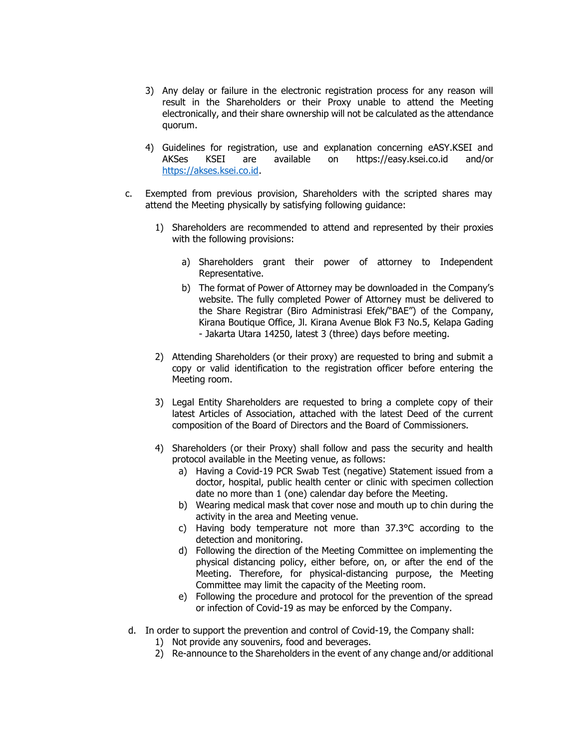- 3) Any delay or failure in the electronic registration process for any reason will result in the Shareholders or their Proxy unable to attend the Meeting electronically, and their share ownership will not be calculated as the attendance quorum.
- 4) Guidelines for registration, use and explanation concerning eASY.KSEI and AKSes KSEI are available on https://easy.ksei.co.id and/or [https://akses.ksei.co.id.](https://akses.ksei.co.id/)
- c. Exempted from previous provision, Shareholders with the scripted shares may attend the Meeting physically by satisfying following guidance:
	- 1) Shareholders are recommended to attend and represented by their proxies with the following provisions:
		- a) Shareholders grant their power of attorney to Independent Representative.
		- b) The format of Power of Attorney may be downloaded in the Company's website. The fully completed Power of Attorney must be delivered to the Share Registrar (Biro Administrasi Efek/"BAE") of the Company, Kirana Boutique Office, Jl. Kirana Avenue Blok F3 No.5, Kelapa Gading - Jakarta Utara 14250, latest 3 (three) days before meeting.
	- 2) Attending Shareholders (or their proxy) are requested to bring and submit a copy or valid identification to the registration officer before entering the Meeting room.
	- 3) Legal Entity Shareholders are requested to bring a complete copy of their latest Articles of Association, attached with the latest Deed of the current composition of the Board of Directors and the Board of Commissioners.
	- 4) Shareholders (or their Proxy) shall follow and pass the security and health protocol available in the Meeting venue, as follows:
		- a) Having a Covid-19 PCR Swab Test (negative) Statement issued from a doctor, hospital, public health center or clinic with specimen collection date no more than 1 (one) calendar day before the Meeting.
		- b) Wearing medical mask that cover nose and mouth up to chin during the activity in the area and Meeting venue.
		- c) Having body temperature not more than 37.3°C according to the detection and monitoring.
		- d) Following the direction of the Meeting Committee on implementing the physical distancing policy, either before, on, or after the end of the Meeting. Therefore, for physical-distancing purpose, the Meeting Committee may limit the capacity of the Meeting room.
		- e) Following the procedure and protocol for the prevention of the spread or infection of Covid-19 as may be enforced by the Company.
- d. In order to support the prevention and control of Covid-19, the Company shall:
	- 1) Not provide any souvenirs, food and beverages.
	- 2) Re-announce to the Shareholders in the event of any change and/or additional